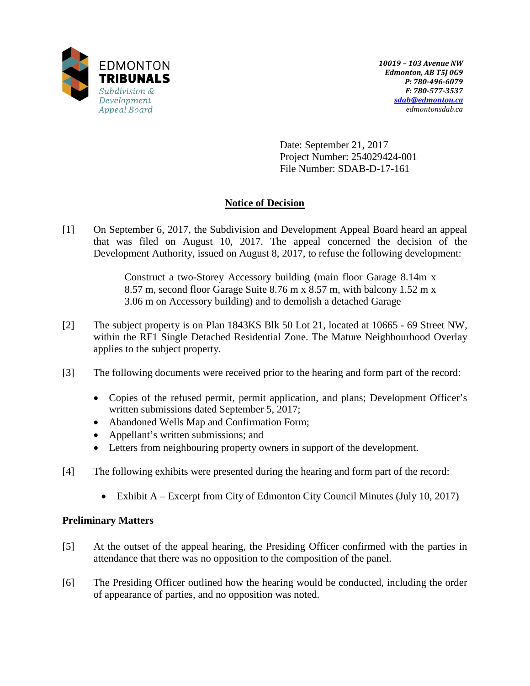

Date: September 21, 2017 Project Number: 254029424-001 File Number: SDAB-D-17-161

# **Notice of Decision**

[1] On September 6, 2017, the Subdivision and Development Appeal Board heard an appeal that was filed on August 10, 2017. The appeal concerned the decision of the Development Authority, issued on August 8, 2017, to refuse the following development:

> Construct a two-Storey Accessory building (main floor Garage 8.14m x 8.57 m, second floor Garage Suite 8.76 m x 8.57 m, with balcony 1.52 m x 3.06 m on Accessory building) and to demolish a detached Garage

- [2] The subject property is on Plan 1843KS Blk 50 Lot 21, located at 10665 69 Street NW, within the RF1 Single Detached Residential Zone. The Mature Neighbourhood Overlay applies to the subject property.
- [3] The following documents were received prior to the hearing and form part of the record:
	- Copies of the refused permit, permit application, and plans; Development Officer's written submissions dated September 5, 2017;
	- Abandoned Wells Map and Confirmation Form;
	- Appellant's written submissions; and
	- Letters from neighbouring property owners in support of the development.
- [4] The following exhibits were presented during the hearing and form part of the record:
	- Exhibit  $A -$  Excerpt from City of Edmonton City Council Minutes (July 10, 2017)

# **Preliminary Matters**

- [5] At the outset of the appeal hearing, the Presiding Officer confirmed with the parties in attendance that there was no opposition to the composition of the panel.
- [6] The Presiding Officer outlined how the hearing would be conducted, including the order of appearance of parties, and no opposition was noted.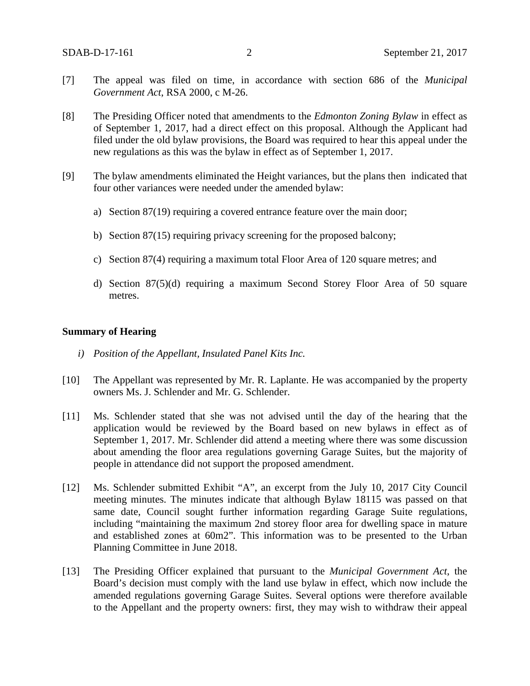- [7] The appeal was filed on time, in accordance with section 686 of the *Municipal Government Act*, RSA 2000, c M-26.
- [8] The Presiding Officer noted that amendments to the *Edmonton Zoning Bylaw* in effect as of September 1, 2017, had a direct effect on this proposal. Although the Applicant had filed under the old bylaw provisions, the Board was required to hear this appeal under the new regulations as this was the bylaw in effect as of September 1, 2017.
- [9] The bylaw amendments eliminated the Height variances, but the plans then indicated that four other variances were needed under the amended bylaw:
	- a) Section 87(19) requiring a covered entrance feature over the main door;
	- b) Section 87(15) requiring privacy screening for the proposed balcony;
	- c) Section 87(4) requiring a maximum total Floor Area of 120 square metres; and
	- d) Section 87(5)(d) requiring a maximum Second Storey Floor Area of 50 square metres.

#### **Summary of Hearing**

- *i) Position of the Appellant, Insulated Panel Kits Inc.*
- [10] The Appellant was represented by Mr. R. Laplante. He was accompanied by the property owners Ms. J. Schlender and Mr. G. Schlender.
- [11] Ms. Schlender stated that she was not advised until the day of the hearing that the application would be reviewed by the Board based on new bylaws in effect as of September 1, 2017. Mr. Schlender did attend a meeting where there was some discussion about amending the floor area regulations governing Garage Suites, but the majority of people in attendance did not support the proposed amendment.
- [12] Ms. Schlender submitted Exhibit "A", an excerpt from the July 10, 2017 City Council meeting minutes. The minutes indicate that although Bylaw 18115 was passed on that same date, Council sought further information regarding Garage Suite regulations, including "maintaining the maximum 2nd storey floor area for dwelling space in mature and established zones at 60m2". This information was to be presented to the Urban Planning Committee in June 2018.
- [13] The Presiding Officer explained that pursuant to the *Municipal Government Act*, the Board's decision must comply with the land use bylaw in effect, which now include the amended regulations governing Garage Suites. Several options were therefore available to the Appellant and the property owners: first, they may wish to withdraw their appeal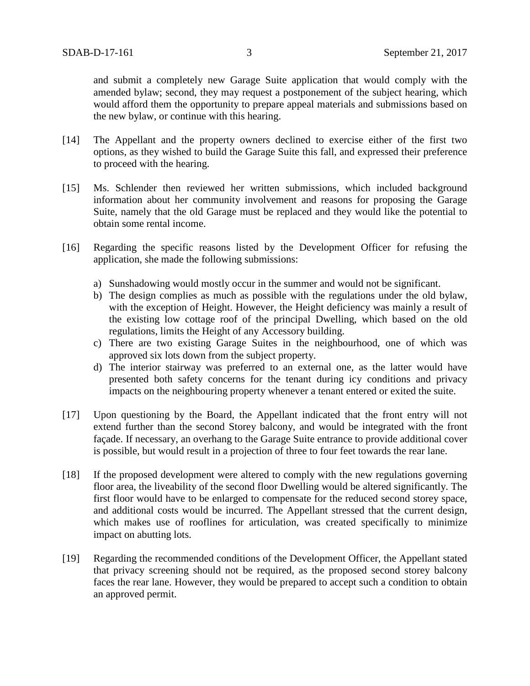and submit a completely new Garage Suite application that would comply with the amended bylaw; second, they may request a postponement of the subject hearing, which would afford them the opportunity to prepare appeal materials and submissions based on the new bylaw, or continue with this hearing.

- [14] The Appellant and the property owners declined to exercise either of the first two options, as they wished to build the Garage Suite this fall, and expressed their preference to proceed with the hearing.
- [15] Ms. Schlender then reviewed her written submissions, which included background information about her community involvement and reasons for proposing the Garage Suite, namely that the old Garage must be replaced and they would like the potential to obtain some rental income.
- [16] Regarding the specific reasons listed by the Development Officer for refusing the application, she made the following submissions:
	- a) Sunshadowing would mostly occur in the summer and would not be significant.
	- b) The design complies as much as possible with the regulations under the old bylaw, with the exception of Height. However, the Height deficiency was mainly a result of the existing low cottage roof of the principal Dwelling, which based on the old regulations, limits the Height of any Accessory building.
	- c) There are two existing Garage Suites in the neighbourhood, one of which was approved six lots down from the subject property.
	- d) The interior stairway was preferred to an external one, as the latter would have presented both safety concerns for the tenant during icy conditions and privacy impacts on the neighbouring property whenever a tenant entered or exited the suite.
- [17] Upon questioning by the Board, the Appellant indicated that the front entry will not extend further than the second Storey balcony, and would be integrated with the front façade. If necessary, an overhang to the Garage Suite entrance to provide additional cover is possible, but would result in a projection of three to four feet towards the rear lane.
- [18] If the proposed development were altered to comply with the new regulations governing floor area, the liveability of the second floor Dwelling would be altered significantly. The first floor would have to be enlarged to compensate for the reduced second storey space, and additional costs would be incurred. The Appellant stressed that the current design, which makes use of rooflines for articulation, was created specifically to minimize impact on abutting lots.
- [19] Regarding the recommended conditions of the Development Officer, the Appellant stated that privacy screening should not be required, as the proposed second storey balcony faces the rear lane. However, they would be prepared to accept such a condition to obtain an approved permit.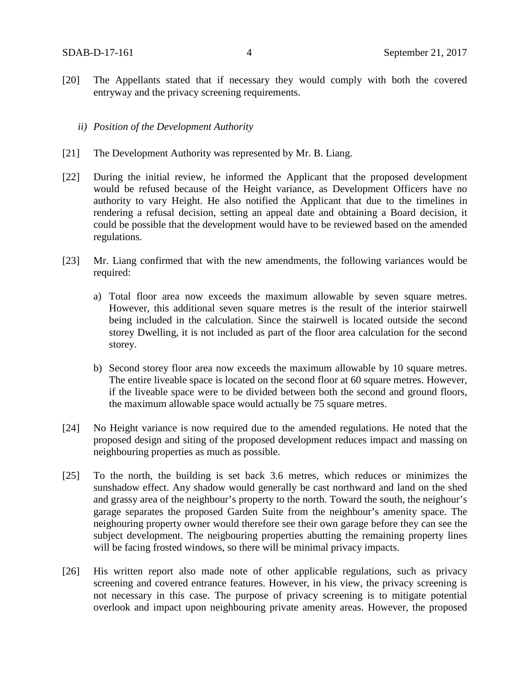- [20] The Appellants stated that if necessary they would comply with both the covered entryway and the privacy screening requirements.
	- *ii) Position of the Development Authority*
- [21] The Development Authority was represented by Mr. B. Liang.
- [22] During the initial review, he informed the Applicant that the proposed development would be refused because of the Height variance, as Development Officers have no authority to vary Height. He also notified the Applicant that due to the timelines in rendering a refusal decision, setting an appeal date and obtaining a Board decision, it could be possible that the development would have to be reviewed based on the amended regulations.
- [23] Mr. Liang confirmed that with the new amendments, the following variances would be required:
	- a) Total floor area now exceeds the maximum allowable by seven square metres. However, this additional seven square metres is the result of the interior stairwell being included in the calculation. Since the stairwell is located outside the second storey Dwelling, it is not included as part of the floor area calculation for the second storey.
	- b) Second storey floor area now exceeds the maximum allowable by 10 square metres. The entire liveable space is located on the second floor at 60 square metres. However, if the liveable space were to be divided between both the second and ground floors, the maximum allowable space would actually be 75 square metres.
- [24] No Height variance is now required due to the amended regulations. He noted that the proposed design and siting of the proposed development reduces impact and massing on neighbouring properties as much as possible.
- [25] To the north, the building is set back 3.6 metres, which reduces or minimizes the sunshadow effect. Any shadow would generally be cast northward and land on the shed and grassy area of the neighbour's property to the north. Toward the south, the neighour's garage separates the proposed Garden Suite from the neighbour's amenity space. The neighouring property owner would therefore see their own garage before they can see the subject development. The neigbouring properties abutting the remaining property lines will be facing frosted windows, so there will be minimal privacy impacts.
- [26] His written report also made note of other applicable regulations, such as privacy screening and covered entrance features. However, in his view, the privacy screening is not necessary in this case. The purpose of privacy screening is to mitigate potential overlook and impact upon neighbouring private amenity areas. However, the proposed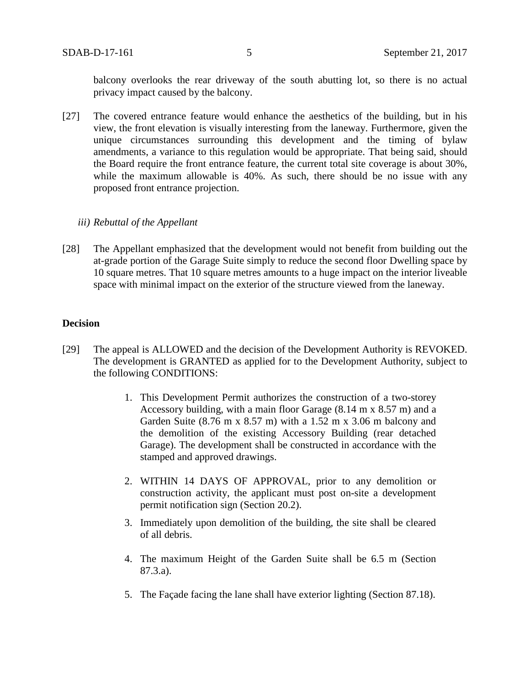balcony overlooks the rear driveway of the south abutting lot, so there is no actual privacy impact caused by the balcony.

[27] The covered entrance feature would enhance the aesthetics of the building, but in his view, the front elevation is visually interesting from the laneway. Furthermore, given the unique circumstances surrounding this development and the timing of bylaw amendments, a variance to this regulation would be appropriate. That being said, should the Board require the front entrance feature, the current total site coverage is about 30%, while the maximum allowable is 40%. As such, there should be no issue with any proposed front entrance projection.

### *iii) Rebuttal of the Appellant*

[28] The Appellant emphasized that the development would not benefit from building out the at-grade portion of the Garage Suite simply to reduce the second floor Dwelling space by 10 square metres. That 10 square metres amounts to a huge impact on the interior liveable space with minimal impact on the exterior of the structure viewed from the laneway.

### **Decision**

- [29] The appeal is ALLOWED and the decision of the Development Authority is REVOKED. The development is GRANTED as applied for to the Development Authority, subject to the following CONDITIONS:
	- 1. This Development Permit authorizes the construction of a two-storey Accessory building, with a main floor Garage (8.14 m x 8.57 m) and a Garden Suite (8.76 m x 8.57 m) with a 1.52 m x 3.06 m balcony and the demolition of the existing Accessory Building (rear detached Garage). The development shall be constructed in accordance with the stamped and approved drawings.
	- 2. WITHIN 14 DAYS OF APPROVAL, prior to any demolition or construction activity, the applicant must post on-site a development permit notification sign (Section 20.2).
	- 3. Immediately upon demolition of the building, the site shall be cleared of all debris.
	- 4. The maximum Height of the Garden Suite shall be 6.5 m (Section 87.3.a).
	- 5. The Façade facing the lane shall have exterior lighting (Section 87.18).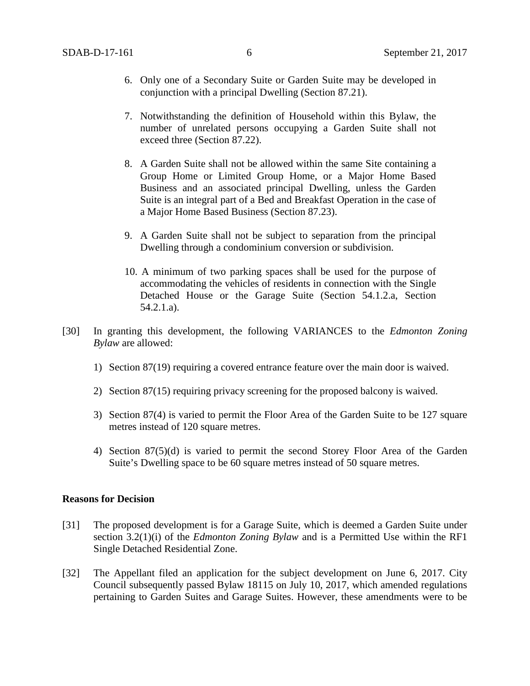- 6. Only one of a Secondary Suite or Garden Suite may be developed in conjunction with a principal Dwelling (Section 87.21).
- 7. Notwithstanding the definition of Household within this Bylaw, the number of unrelated persons occupying a Garden Suite shall not exceed three (Section 87.22).
- 8. A Garden Suite shall not be allowed within the same Site containing a Group Home or Limited Group Home, or a Major Home Based Business and an associated principal Dwelling, unless the Garden Suite is an integral part of a Bed and Breakfast Operation in the case of a Major Home Based Business (Section 87.23).
- 9. A Garden Suite shall not be subject to separation from the principal Dwelling through a condominium conversion or subdivision.
- 10. A minimum of two parking spaces shall be used for the purpose of accommodating the vehicles of residents in connection with the Single Detached House or the Garage Suite (Section 54.1.2.a, Section 54.2.1.a).
- [30] In granting this development, the following VARIANCES to the *Edmonton Zoning Bylaw* are allowed:
	- 1) Section 87(19) requiring a covered entrance feature over the main door is waived.
	- 2) Section 87(15) requiring privacy screening for the proposed balcony is waived.
	- 3) Section 87(4) is varied to permit the Floor Area of the Garden Suite to be 127 square metres instead of 120 square metres.
	- 4) Section 87(5)(d) is varied to permit the second Storey Floor Area of the Garden Suite's Dwelling space to be 60 square metres instead of 50 square metres.

### **Reasons for Decision**

- [31] The proposed development is for a Garage Suite, which is deemed a Garden Suite under section 3.2(1)(i) of the *Edmonton Zoning Bylaw* and is a Permitted Use within the RF1 Single Detached Residential Zone.
- [32] The Appellant filed an application for the subject development on June 6, 2017. City Council subsequently passed Bylaw 18115 on July 10, 2017, which amended regulations pertaining to Garden Suites and Garage Suites. However, these amendments were to be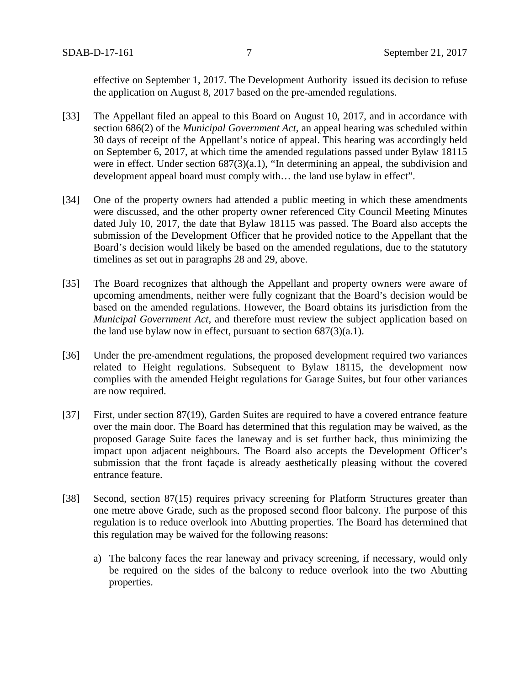effective on September 1, 2017. The Development Authority issued its decision to refuse the application on August 8, 2017 based on the pre-amended regulations.

- [33] The Appellant filed an appeal to this Board on August 10, 2017, and in accordance with section 686(2) of the *Municipal Government Act,* an appeal hearing was scheduled within 30 days of receipt of the Appellant's notice of appeal. This hearing was accordingly held on September 6, 2017, at which time the amended regulations passed under Bylaw 18115 were in effect. Under section 687(3)(a.1), "In determining an appeal, the subdivision and development appeal board must comply with… the land use bylaw in effect".
- [34] One of the property owners had attended a public meeting in which these amendments were discussed, and the other property owner referenced City Council Meeting Minutes dated July 10, 2017, the date that Bylaw 18115 was passed. The Board also accepts the submission of the Development Officer that he provided notice to the Appellant that the Board's decision would likely be based on the amended regulations, due to the statutory timelines as set out in paragraphs 28 and 29, above.
- [35] The Board recognizes that although the Appellant and property owners were aware of upcoming amendments, neither were fully cognizant that the Board's decision would be based on the amended regulations. However, the Board obtains its jurisdiction from the *Municipal Government Act,* and therefore must review the subject application based on the land use bylaw now in effect, pursuant to section  $687(3)(a.1)$ .
- [36] Under the pre-amendment regulations, the proposed development required two variances related to Height regulations. Subsequent to Bylaw 18115, the development now complies with the amended Height regulations for Garage Suites, but four other variances are now required.
- [37] First, under section 87(19), Garden Suites are required to have a covered entrance feature over the main door. The Board has determined that this regulation may be waived, as the proposed Garage Suite faces the laneway and is set further back, thus minimizing the impact upon adjacent neighbours. The Board also accepts the Development Officer's submission that the front façade is already aesthetically pleasing without the covered entrance feature.
- [38] Second, section 87(15) requires privacy screening for Platform Structures greater than one metre above Grade, such as the proposed second floor balcony. The purpose of this regulation is to reduce overlook into Abutting properties. The Board has determined that this regulation may be waived for the following reasons:
	- a) The balcony faces the rear laneway and privacy screening, if necessary, would only be required on the sides of the balcony to reduce overlook into the two Abutting properties.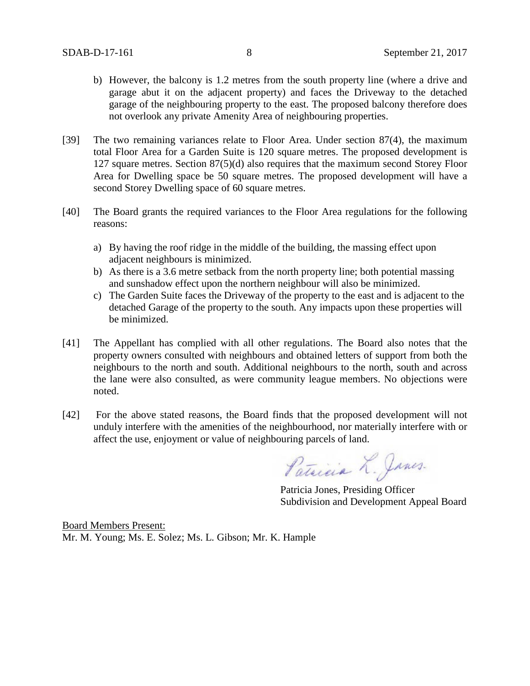- b) However, the balcony is 1.2 metres from the south property line (where a drive and garage abut it on the adjacent property) and faces the Driveway to the detached garage of the neighbouring property to the east. The proposed balcony therefore does not overlook any private Amenity Area of neighbouring properties.
- [39] The two remaining variances relate to Floor Area. Under section 87(4), the maximum total Floor Area for a Garden Suite is 120 square metres. The proposed development is 127 square metres. Section 87(5)(d) also requires that the maximum second Storey Floor Area for Dwelling space be 50 square metres. The proposed development will have a second Storey Dwelling space of 60 square metres.
- [40] The Board grants the required variances to the Floor Area regulations for the following reasons:
	- a) By having the roof ridge in the middle of the building, the massing effect upon adjacent neighbours is minimized.
	- b) As there is a 3.6 metre setback from the north property line; both potential massing and sunshadow effect upon the northern neighbour will also be minimized.
	- c) The Garden Suite faces the Driveway of the property to the east and is adjacent to the detached Garage of the property to the south. Any impacts upon these properties will be minimized.
- [41] The Appellant has complied with all other regulations. The Board also notes that the property owners consulted with neighbours and obtained letters of support from both the neighbours to the north and south. Additional neighbours to the north, south and across the lane were also consulted, as were community league members. No objections were noted.
- [42] For the above stated reasons, the Board finds that the proposed development will not unduly interfere with the amenities of the neighbourhood, nor materially interfere with or affect the use, enjoyment or value of neighbouring parcels of land.

Patricia L. Janes.

Patricia Jones, Presiding Officer Subdivision and Development Appeal Board

Board Members Present: Mr. M. Young; Ms. E. Solez; Ms. L. Gibson; Mr. K. Hample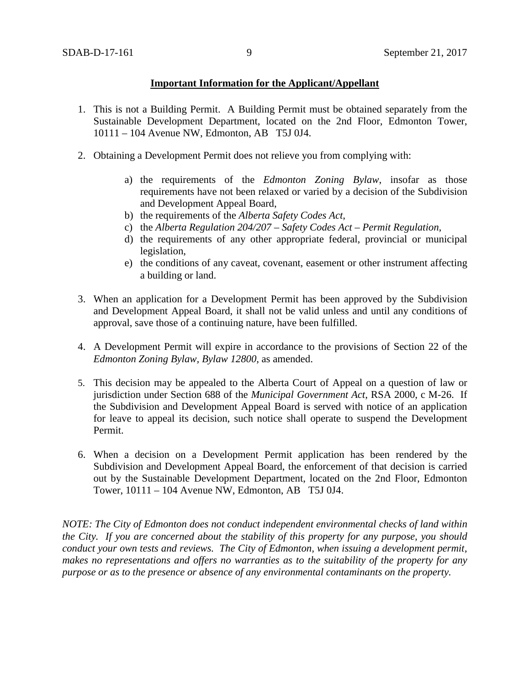## **Important Information for the Applicant/Appellant**

- 1. This is not a Building Permit. A Building Permit must be obtained separately from the Sustainable Development Department, located on the 2nd Floor, Edmonton Tower, 10111 – 104 Avenue NW, Edmonton, AB T5J 0J4.
- 2. Obtaining a Development Permit does not relieve you from complying with:
	- a) the requirements of the *Edmonton Zoning Bylaw*, insofar as those requirements have not been relaxed or varied by a decision of the Subdivision and Development Appeal Board,
	- b) the requirements of the *Alberta Safety Codes Act*,
	- c) the *Alberta Regulation 204/207 – Safety Codes Act – Permit Regulation*,
	- d) the requirements of any other appropriate federal, provincial or municipal legislation,
	- e) the conditions of any caveat, covenant, easement or other instrument affecting a building or land.
- 3. When an application for a Development Permit has been approved by the Subdivision and Development Appeal Board, it shall not be valid unless and until any conditions of approval, save those of a continuing nature, have been fulfilled.
- 4. A Development Permit will expire in accordance to the provisions of Section 22 of the *Edmonton Zoning Bylaw, Bylaw 12800*, as amended.
- 5. This decision may be appealed to the Alberta Court of Appeal on a question of law or jurisdiction under Section 688 of the *Municipal Government Act*, RSA 2000, c M-26. If the Subdivision and Development Appeal Board is served with notice of an application for leave to appeal its decision, such notice shall operate to suspend the Development Permit.
- 6. When a decision on a Development Permit application has been rendered by the Subdivision and Development Appeal Board, the enforcement of that decision is carried out by the Sustainable Development Department, located on the 2nd Floor, Edmonton Tower, 10111 – 104 Avenue NW, Edmonton, AB T5J 0J4.

*NOTE: The City of Edmonton does not conduct independent environmental checks of land within the City. If you are concerned about the stability of this property for any purpose, you should conduct your own tests and reviews. The City of Edmonton, when issuing a development permit, makes no representations and offers no warranties as to the suitability of the property for any purpose or as to the presence or absence of any environmental contaminants on the property.*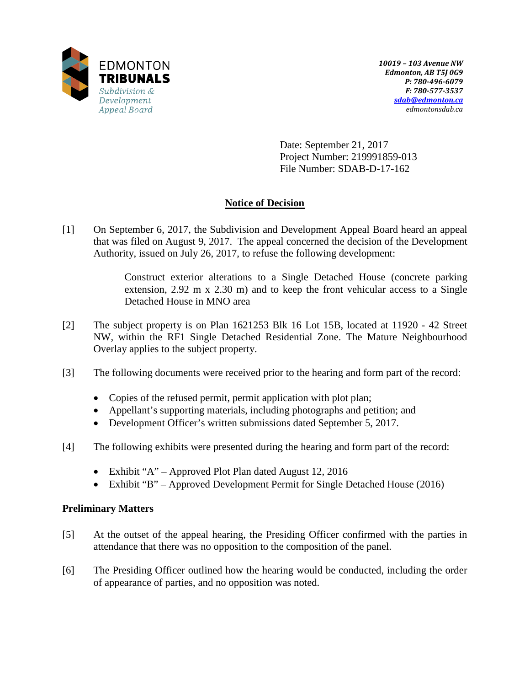

Date: September 21, 2017 Project Number: 219991859-013 File Number: SDAB-D-17-162

# **Notice of Decision**

[1] On September 6, 2017, the Subdivision and Development Appeal Board heard an appeal that was filed on August 9, 2017. The appeal concerned the decision of the Development Authority, issued on July 26, 2017, to refuse the following development:

> Construct exterior alterations to a Single Detached House (concrete parking extension, 2.92 m x 2.30 m) and to keep the front vehicular access to a Single Detached House in MNO area

- [2] The subject property is on Plan 1621253 Blk 16 Lot 15B, located at 11920 42 Street NW, within the RF1 Single Detached Residential Zone. The Mature Neighbourhood Overlay applies to the subject property.
- [3] The following documents were received prior to the hearing and form part of the record:
	- Copies of the refused permit, permit application with plot plan;
	- Appellant's supporting materials, including photographs and petition; and
	- Development Officer's written submissions dated September 5, 2017.
- [4] The following exhibits were presented during the hearing and form part of the record:
	- Exhibit "A" Approved Plot Plan dated August 12, 2016
	- Exhibit "B" Approved Development Permit for Single Detached House (2016)

# **Preliminary Matters**

- [5] At the outset of the appeal hearing, the Presiding Officer confirmed with the parties in attendance that there was no opposition to the composition of the panel.
- [6] The Presiding Officer outlined how the hearing would be conducted, including the order of appearance of parties, and no opposition was noted.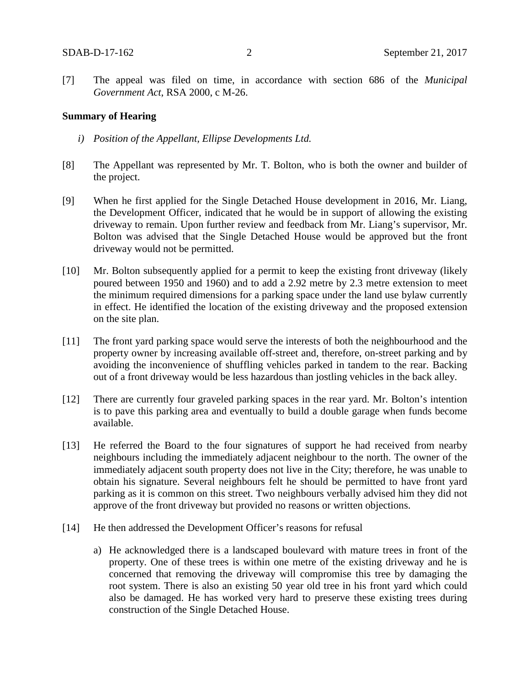[7] The appeal was filed on time, in accordance with section 686 of the *Municipal Government Act*, RSA 2000, c M-26.

#### **Summary of Hearing**

- *i) Position of the Appellant, Ellipse Developments Ltd.*
- [8] The Appellant was represented by Mr. T. Bolton, who is both the owner and builder of the project.
- [9] When he first applied for the Single Detached House development in 2016, Mr. Liang, the Development Officer, indicated that he would be in support of allowing the existing driveway to remain. Upon further review and feedback from Mr. Liang's supervisor, Mr. Bolton was advised that the Single Detached House would be approved but the front driveway would not be permitted.
- [10] Mr. Bolton subsequently applied for a permit to keep the existing front driveway (likely poured between 1950 and 1960) and to add a 2.92 metre by 2.3 metre extension to meet the minimum required dimensions for a parking space under the land use bylaw currently in effect. He identified the location of the existing driveway and the proposed extension on the site plan.
- [11] The front yard parking space would serve the interests of both the neighbourhood and the property owner by increasing available off-street and, therefore, on-street parking and by avoiding the inconvenience of shuffling vehicles parked in tandem to the rear. Backing out of a front driveway would be less hazardous than jostling vehicles in the back alley.
- [12] There are currently four graveled parking spaces in the rear yard. Mr. Bolton's intention is to pave this parking area and eventually to build a double garage when funds become available.
- [13] He referred the Board to the four signatures of support he had received from nearby neighbours including the immediately adjacent neighbour to the north. The owner of the immediately adjacent south property does not live in the City; therefore, he was unable to obtain his signature. Several neighbours felt he should be permitted to have front yard parking as it is common on this street. Two neighbours verbally advised him they did not approve of the front driveway but provided no reasons or written objections.
- [14] He then addressed the Development Officer's reasons for refusal
	- a) He acknowledged there is a landscaped boulevard with mature trees in front of the property. One of these trees is within one metre of the existing driveway and he is concerned that removing the driveway will compromise this tree by damaging the root system. There is also an existing 50 year old tree in his front yard which could also be damaged. He has worked very hard to preserve these existing trees during construction of the Single Detached House.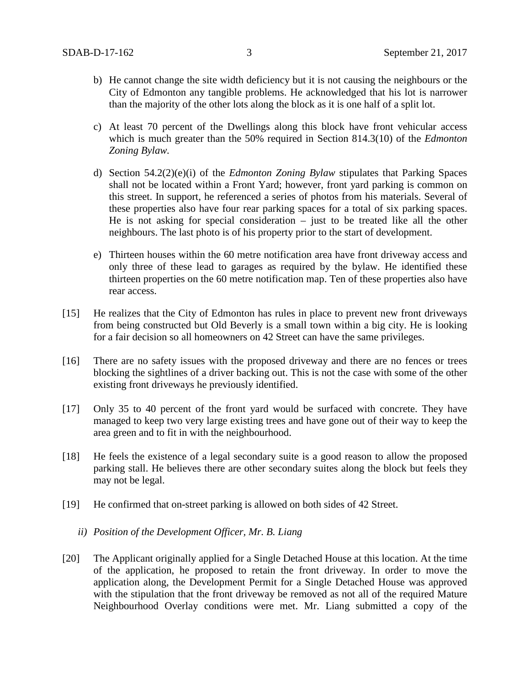- b) He cannot change the site width deficiency but it is not causing the neighbours or the City of Edmonton any tangible problems. He acknowledged that his lot is narrower than the majority of the other lots along the block as it is one half of a split lot.
- c) At least 70 percent of the Dwellings along this block have front vehicular access which is much greater than the 50% required in Section 814.3(10) of the *Edmonton Zoning Bylaw.*
- d) Section 54.2(2)(e)(i) of the *Edmonton Zoning Bylaw* stipulates that Parking Spaces shall not be located within a Front Yard; however, front yard parking is common on this street. In support, he referenced a series of photos from his materials. Several of these properties also have four rear parking spaces for a total of six parking spaces. He is not asking for special consideration – just to be treated like all the other neighbours. The last photo is of his property prior to the start of development.
- e) Thirteen houses within the 60 metre notification area have front driveway access and only three of these lead to garages as required by the bylaw. He identified these thirteen properties on the 60 metre notification map. Ten of these properties also have rear access.
- [15] He realizes that the City of Edmonton has rules in place to prevent new front driveways from being constructed but Old Beverly is a small town within a big city. He is looking for a fair decision so all homeowners on 42 Street can have the same privileges.
- [16] There are no safety issues with the proposed driveway and there are no fences or trees blocking the sightlines of a driver backing out. This is not the case with some of the other existing front driveways he previously identified.
- [17] Only 35 to 40 percent of the front yard would be surfaced with concrete. They have managed to keep two very large existing trees and have gone out of their way to keep the area green and to fit in with the neighbourhood.
- [18] He feels the existence of a legal secondary suite is a good reason to allow the proposed parking stall. He believes there are other secondary suites along the block but feels they may not be legal.
- [19] He confirmed that on-street parking is allowed on both sides of 42 Street.
	- *ii) Position of the Development Officer, Mr. B. Liang*
- [20] The Applicant originally applied for a Single Detached House at this location. At the time of the application, he proposed to retain the front driveway. In order to move the application along, the Development Permit for a Single Detached House was approved with the stipulation that the front driveway be removed as not all of the required Mature Neighbourhood Overlay conditions were met. Mr. Liang submitted a copy of the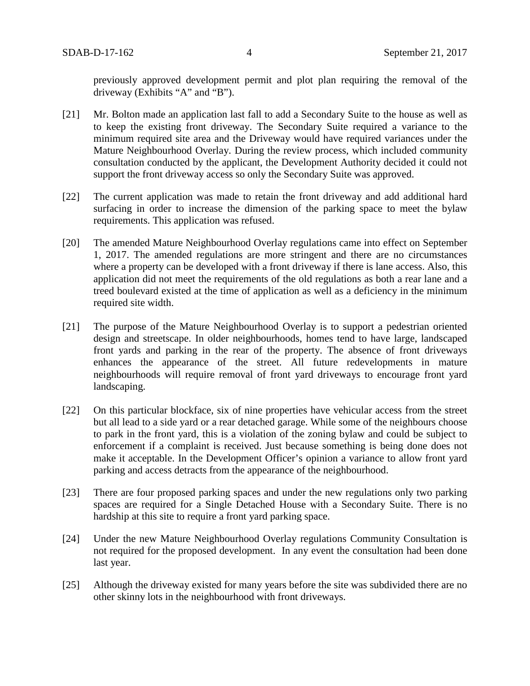previously approved development permit and plot plan requiring the removal of the driveway (Exhibits "A" and "B").

- [21] Mr. Bolton made an application last fall to add a Secondary Suite to the house as well as to keep the existing front driveway. The Secondary Suite required a variance to the minimum required site area and the Driveway would have required variances under the Mature Neighbourhood Overlay. During the review process, which included community consultation conducted by the applicant, the Development Authority decided it could not support the front driveway access so only the Secondary Suite was approved.
- [22] The current application was made to retain the front driveway and add additional hard surfacing in order to increase the dimension of the parking space to meet the bylaw requirements. This application was refused.
- [20] The amended Mature Neighbourhood Overlay regulations came into effect on September 1, 2017. The amended regulations are more stringent and there are no circumstances where a property can be developed with a front driveway if there is lane access. Also, this application did not meet the requirements of the old regulations as both a rear lane and a treed boulevard existed at the time of application as well as a deficiency in the minimum required site width.
- [21] The purpose of the Mature Neighbourhood Overlay is to support a pedestrian oriented design and streetscape. In older neighbourhoods, homes tend to have large, landscaped front yards and parking in the rear of the property. The absence of front driveways enhances the appearance of the street. All future redevelopments in mature neighbourhoods will require removal of front yard driveways to encourage front yard landscaping.
- [22] On this particular blockface, six of nine properties have vehicular access from the street but all lead to a side yard or a rear detached garage. While some of the neighbours choose to park in the front yard, this is a violation of the zoning bylaw and could be subject to enforcement if a complaint is received. Just because something is being done does not make it acceptable. In the Development Officer's opinion a variance to allow front yard parking and access detracts from the appearance of the neighbourhood.
- [23] There are four proposed parking spaces and under the new regulations only two parking spaces are required for a Single Detached House with a Secondary Suite. There is no hardship at this site to require a front yard parking space.
- [24] Under the new Mature Neighbourhood Overlay regulations Community Consultation is not required for the proposed development. In any event the consultation had been done last year.
- [25] Although the driveway existed for many years before the site was subdivided there are no other skinny lots in the neighbourhood with front driveways.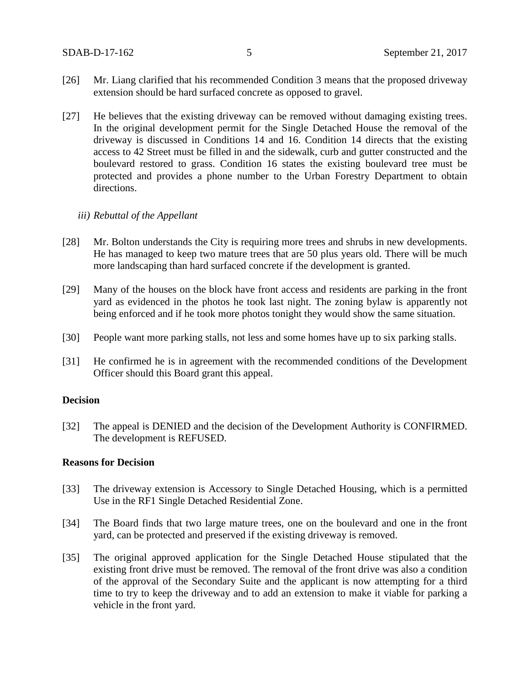- [26] Mr. Liang clarified that his recommended Condition 3 means that the proposed driveway extension should be hard surfaced concrete as opposed to gravel.
- [27] He believes that the existing driveway can be removed without damaging existing trees. In the original development permit for the Single Detached House the removal of the driveway is discussed in Conditions 14 and 16. Condition 14 directs that the existing access to 42 Street must be filled in and the sidewalk, curb and gutter constructed and the boulevard restored to grass. Condition 16 states the existing boulevard tree must be protected and provides a phone number to the Urban Forestry Department to obtain directions.

### *iii) Rebuttal of the Appellant*

- [28] Mr. Bolton understands the City is requiring more trees and shrubs in new developments. He has managed to keep two mature trees that are 50 plus years old. There will be much more landscaping than hard surfaced concrete if the development is granted.
- [29] Many of the houses on the block have front access and residents are parking in the front yard as evidenced in the photos he took last night. The zoning bylaw is apparently not being enforced and if he took more photos tonight they would show the same situation.
- [30] People want more parking stalls, not less and some homes have up to six parking stalls.
- [31] He confirmed he is in agreement with the recommended conditions of the Development Officer should this Board grant this appeal.

## **Decision**

[32] The appeal is DENIED and the decision of the Development Authority is CONFIRMED. The development is REFUSED.

### **Reasons for Decision**

- [33] The driveway extension is Accessory to Single Detached Housing, which is a permitted Use in the RF1 Single Detached Residential Zone.
- [34] The Board finds that two large mature trees, one on the boulevard and one in the front yard, can be protected and preserved if the existing driveway is removed.
- [35] The original approved application for the Single Detached House stipulated that the existing front drive must be removed. The removal of the front drive was also a condition of the approval of the Secondary Suite and the applicant is now attempting for a third time to try to keep the driveway and to add an extension to make it viable for parking a vehicle in the front yard.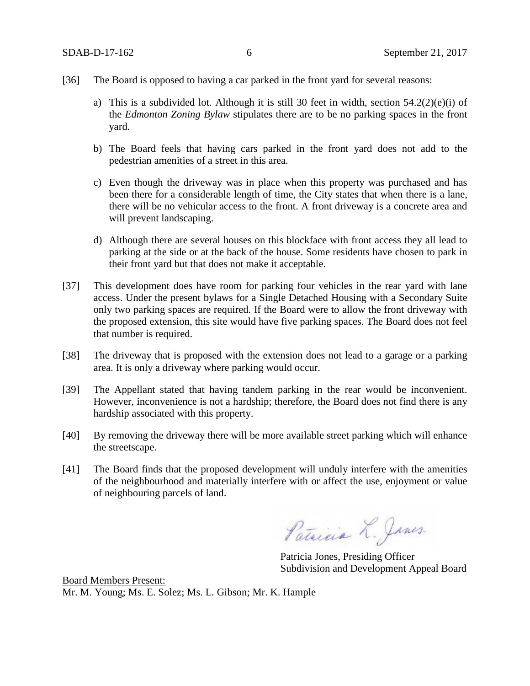- [36] The Board is opposed to having a car parked in the front yard for several reasons:
	- a) This is a subdivided lot. Although it is still 30 feet in width, section  $54.2(2)(e)(i)$  of the *Edmonton Zoning Bylaw* stipulates there are to be no parking spaces in the front yard.
	- b) The Board feels that having cars parked in the front yard does not add to the pedestrian amenities of a street in this area.
	- c) Even though the driveway was in place when this property was purchased and has been there for a considerable length of time, the City states that when there is a lane, there will be no vehicular access to the front. A front driveway is a concrete area and will prevent landscaping.
	- d) Although there are several houses on this blockface with front access they all lead to parking at the side or at the back of the house. Some residents have chosen to park in their front yard but that does not make it acceptable.
- [37] This development does have room for parking four vehicles in the rear yard with lane access. Under the present bylaws for a Single Detached Housing with a Secondary Suite only two parking spaces are required. If the Board were to allow the front driveway with the proposed extension, this site would have five parking spaces. The Board does not feel that number is required.
- [38] The driveway that is proposed with the extension does not lead to a garage or a parking area. It is only a driveway where parking would occur.
- [39] The Appellant stated that having tandem parking in the rear would be inconvenient. However, inconvenience is not a hardship; therefore, the Board does not find there is any hardship associated with this property.
- [40] By removing the driveway there will be more available street parking which will enhance the streetscape.
- [41] The Board finds that the proposed development will unduly interfere with the amenities of the neighbourhood and materially interfere with or affect the use, enjoyment or value of neighbouring parcels of land.

Patricia L. Janes.

Patricia Jones, Presiding Officer Subdivision and Development Appeal Board

Board Members Present: Mr. M. Young; Ms. E. Solez; Ms. L. Gibson; Mr. K. Hample